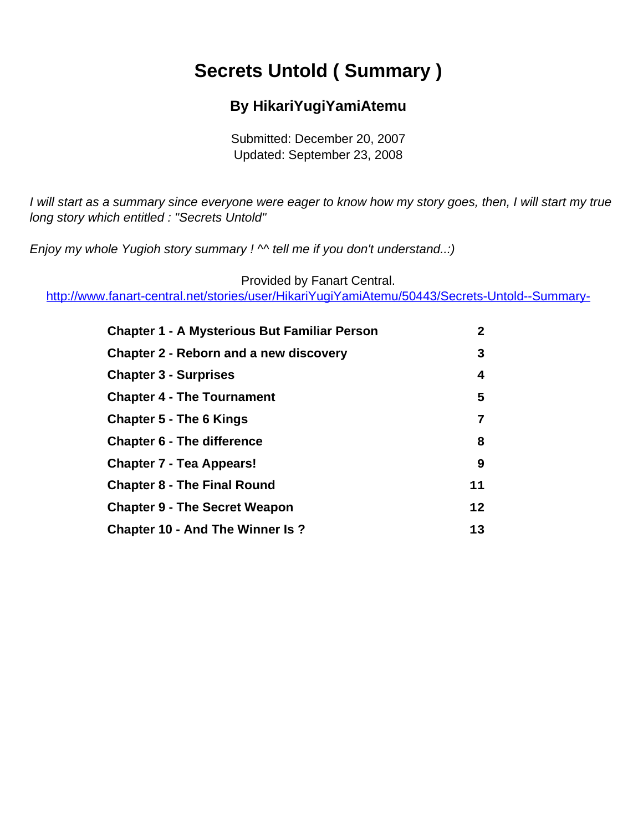# **Secrets Untold ( Summary )**

### **By HikariYugiYamiAtemu**

Submitted: December 20, 2007 Updated: September 23, 2008

<span id="page-0-0"></span>I will start as a summary since everyone were eager to know how my story goes, then, I will start my true long story which entitled : "Secrets Untold"

Enjoy my whole Yugioh story summary !  $\sim$  tell me if you don't understand..:)

Provided by Fanart Central.

[http://www.fanart-central.net/stories/user/HikariYugiYamiAtemu/50443/Secrets-Untold--Summary-](#page-0-0)

| <b>Chapter 1 - A Mysterious But Familiar Person</b> | $\overline{2}$ |
|-----------------------------------------------------|----------------|
| <b>Chapter 2 - Reborn and a new discovery</b>       | 3              |
| <b>Chapter 3 - Surprises</b>                        | 4              |
| <b>Chapter 4 - The Tournament</b>                   | 5              |
| <b>Chapter 5 - The 6 Kings</b>                      | 7              |
| <b>Chapter 6 - The difference</b>                   | 8              |
| <b>Chapter 7 - Tea Appears!</b>                     | 9              |
| <b>Chapter 8 - The Final Round</b>                  | 11             |
| <b>Chapter 9 - The Secret Weapon</b>                | 12             |
| <b>Chapter 10 - And The Winner Is ?</b>             | 13             |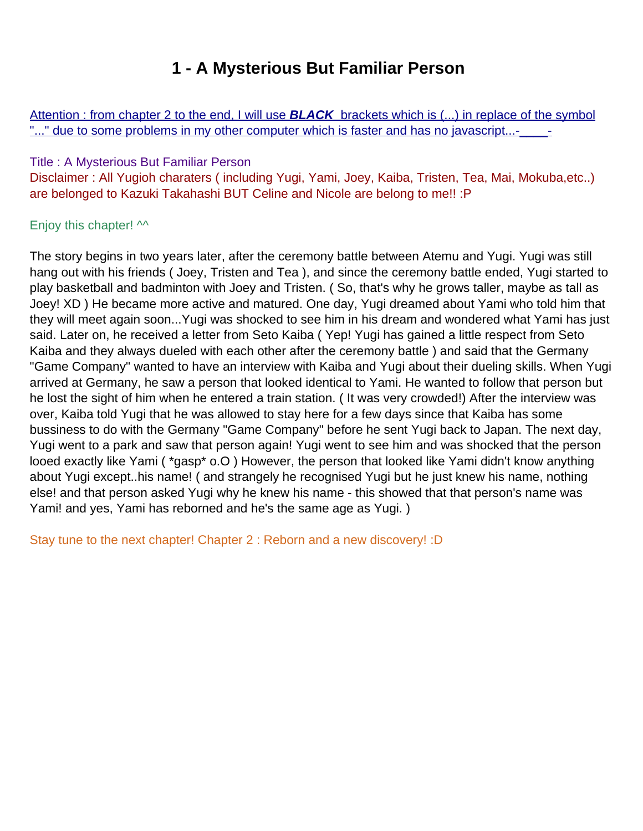## **1 - A Mysterious But Familiar Person**

<span id="page-1-0"></span>Attention : from chapter 2 to the end, I will use **BLACK** brackets which is (...) in replace of the symbol "..." due to some problems in my other computer which is faster and has no javascript...-

#### Title : A Mysterious But Familiar Person

Disclaimer : All Yugioh charaters ( including Yugi, Yami, Joey, Kaiba, Tristen, Tea, Mai, Mokuba,etc..) are belonged to Kazuki Takahashi BUT Celine and Nicole are belong to me!! :P

#### Enjoy this chapter!  $\sim$

The story begins in two years later, after the ceremony battle between Atemu and Yugi. Yugi was still hang out with his friends ( Joey, Tristen and Tea ), and since the ceremony battle ended, Yugi started to play basketball and badminton with Joey and Tristen. ( So, that's why he grows taller, maybe as tall as Joey! XD ) He became more active and matured. One day, Yugi dreamed about Yami who told him that they will meet again soon...Yugi was shocked to see him in his dream and wondered what Yami has just said. Later on, he received a letter from Seto Kaiba ( Yep! Yugi has gained a little respect from Seto Kaiba and they always dueled with each other after the ceremony battle ) and said that the Germany "Game Company" wanted to have an interview with Kaiba and Yugi about their dueling skills. When Yugi arrived at Germany, he saw a person that looked identical to Yami. He wanted to follow that person but he lost the sight of him when he entered a train station. ( It was very crowded!) After the interview was over, Kaiba told Yugi that he was allowed to stay here for a few days since that Kaiba has some bussiness to do with the Germany "Game Company" before he sent Yugi back to Japan. The next day, Yugi went to a park and saw that person again! Yugi went to see him and was shocked that the person looed exactly like Yami ( \*gasp\* o.O ) However, the person that looked like Yami didn't know anything about Yugi except..his name! ( and strangely he recognised Yugi but he just knew his name, nothing else! and that person asked Yugi why he knew his name - this showed that that person's name was Yami! and yes, Yami has reborned and he's the same age as Yugi. )

Stay tune to the next chapter! Chapter 2 : Reborn and a new discovery! :D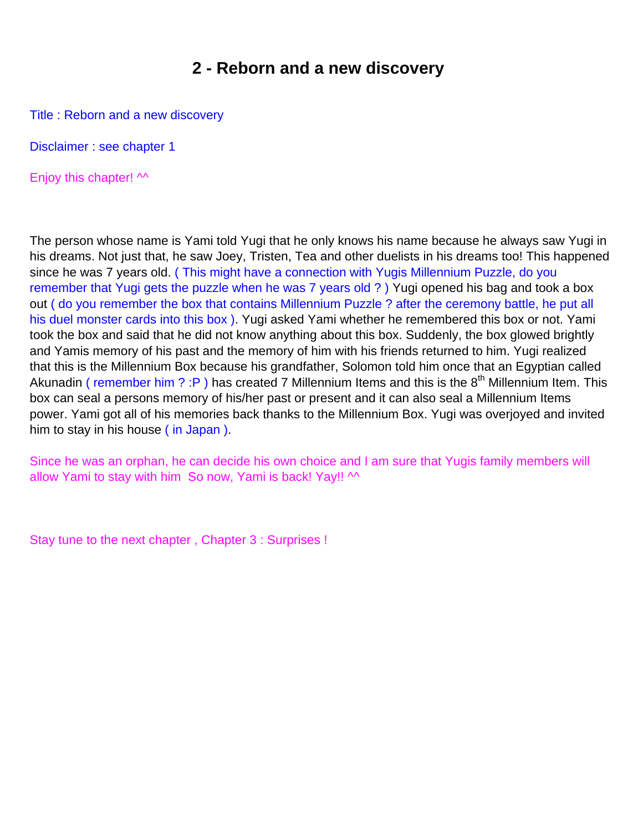### **2 - Reborn and a new discovery**

<span id="page-2-0"></span>Title : Reborn and a new discovery

Disclaimer : see chapter 1

Enjoy this chapter!  $\sim$ 

The person whose name is Yami told Yugi that he only knows his name because he always saw Yugi in his dreams. Not just that, he saw Joey, Tristen, Tea and other duelists in his dreams too! This happened since he was 7 years old. (This might have a connection with Yugi s Millennium Puzzle, do you remember that Yugi gets the puzzle when he was 7 years old ?) Yugi opened his bag and took a box out ( do you remember the box that contains Millennium Puzzle ? after the ceremony battle, he put all his duel monster cards into this box ). Yugi asked Yami whether he remembered this box or not. Yami took the box and said that he did not know anything about this box. Suddenly, the box glowed brightly and Yamis memory of his past and the memory of him with his friends returned to him. Yugi realized that this is the Millennium Box because his grandfather, Solomon told him once that an Egyptian called Akunadin ( remember him ? : P ) has created 7 Millennium Items and this is the  $8<sup>th</sup>$  Millennium Item. This box can seal a person s memory of his/her past or present and it can also seal a Millennium Item s power. Yami got all of his memories back thanks to the Millennium Box. Yugi was overjoyed and invited him to stay in his house ( in Japan ).

Since he was an orphan, he can decide his own choice and I am sure that Yugi s family members will allow Yami to stay with him So now, Yami is back! Yay!!  $\sim$ 

Stay tune to the next chapter , Chapter 3 : Surprises !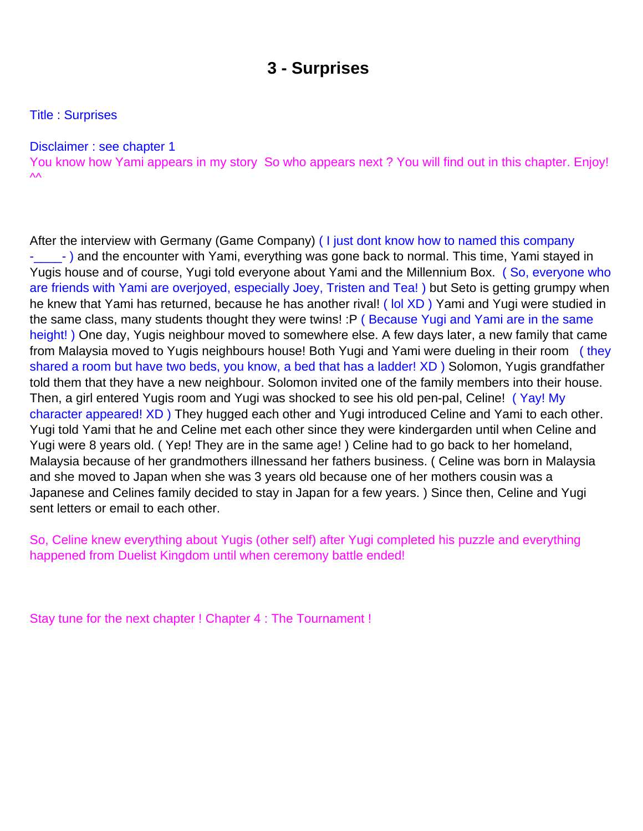### **3 - Surprises**

<span id="page-3-0"></span>Title : Surprises

#### Disclaimer : see chapter 1

You know how Yami appears in my story So who appears next ? You will find out in this chapter. Enjoy!  $\mathsf{V}\mathsf{V}$ 

After the interview with Germany (Game Company) (I just don t know how to named this company -\_\_\_\_- ) and the encounter with Yami, everything was gone back to normal. This time, Yami stayed in Yugi s house and of course, Yugi told everyone about Yami and the Millennium Box. (So, everyone who are friends with Yami are overjoyed, especially Joey, Tristen and Tea! ) but Seto is getting grumpy when he knew that Yami has returned, because he has another rival! (lol XD) Yami and Yugi were studied in the same class, many students thought they were twins! :P (Because Yugi and Yami are in the same height!) One day, Yugi s neighbour moved to somewhere else. A few days later, a new family that came from Malaysia moved to Yugi s neighbour s house! Both Yugi and Yami were dueling in their room (they shared a room but have two beds, you know, a bed that has a ladder! XD) Solomon, Yugi s grandfather told them that they have a new neighbour. Solomon invited one of the family members into their house. Then, a girl entered Yugi s room and Yugi was shocked to see his old pen-pal, Celine! (Yay! My character appeared! XD ) They hugged each other and Yugi introduced Celine and Yami to each other. Yugi told Yami that he and Celine met each other since they were kindergarden until when Celine and Yugi were 8 years old. ( Yep! They are in the same age! ) Celine had to go back to her homeland, Malaysia because of her grandmother s illnessand her father s business. ( Celine was born in Malaysia and she moved to Japan when she was 3 years old because one of her mother s cousin was a Japanese and Celine s family decided to stay in Japan for a few years.) Since then, Celine and Yugi sent letters or email to each other.

So, Celine knew everything about Yugi s (other self) after Yugi completed his puzzle and everything happened from Duelist Kingdom until when ceremony battle ended!

Stay tune for the next chapter ! Chapter 4 : The Tournament !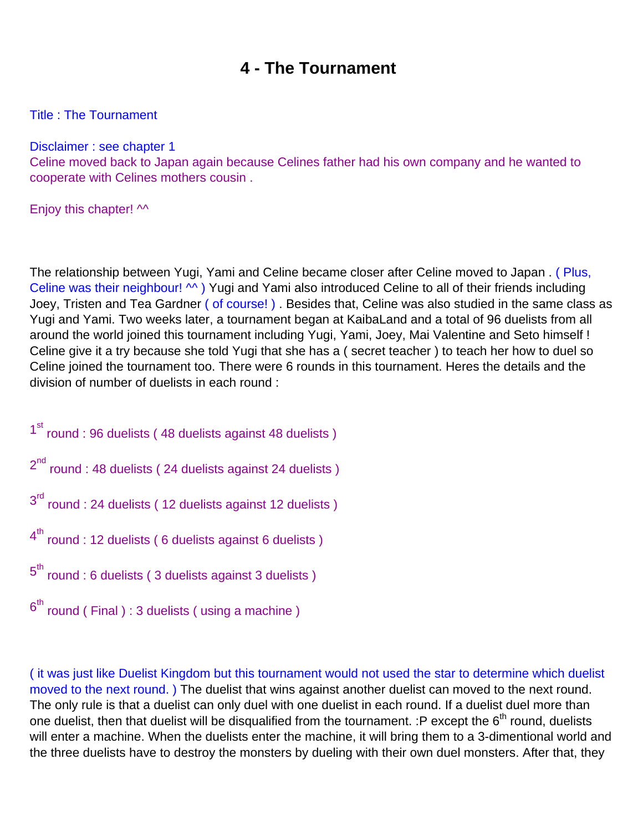### **4 - The Tournament**

#### <span id="page-4-0"></span>Title : The Tournament

Disclaimer : see chapter 1

Celine moved back to Japan again because Celine s father had his own company and he wanted to cooperate with Celine s mother s cousin.

Enjoy this chapter!  $\sim$ 

The relationship between Yugi, Yami and Celine became closer after Celine moved to Japan . ( Plus, Celine was their neighbour! M) Yugi and Yami also introduced Celine to all of their friends including Joey, Tristen and Tea Gardner ( of course! ). Besides that, Celine was also studied in the same class as Yugi and Yami. Two weeks later, a tournament began at KaibaLand and a total of 96 duelists from all around the world joined this tournament including Yugi, Yami, Joey, Mai Valentine and Seto himself ! Celine give it a try because she told Yugi that she has a ( secret teacher ) to teach her how to duel so Celine joined the tournament too. There were 6 rounds in this tournament. Here s the details and the division of number of duelists in each round :

- 1<sup>st</sup> round : 96 duelists (48 duelists against 48 duelists)  $2<sup>nd</sup>$  round : 48 duelists ( 24 duelists against 24 duelists ) 3<sup>rd</sup> round : 24 duelists ( 12 duelists against 12 duelists )  $4<sup>th</sup>$  round : 12 duelists ( 6 duelists against 6 duelists )  $5<sup>th</sup>$  round : 6 duelists ( 3 duelists against 3 duelists )
- $6<sup>th</sup>$  round (Final): 3 duelists (vusing a machine)

( it was just like Duelist Kingdom but this tournament would not used the star to determine which duelist moved to the next round.) The duelist that wins against another duelist can moved to the next round. The only rule is that a duelist can only duel with one duelist in each round. If a duelist duel more than one duelist, then that duelist will be disqualified from the tournament. :P except the  $6<sup>th</sup>$  round, duelists will enter a machine. When the duelists enter the machine, it will bring them to a 3-dimentional world and the three duelists have to destroy the monsters by dueling with their own duel monsters. After that, they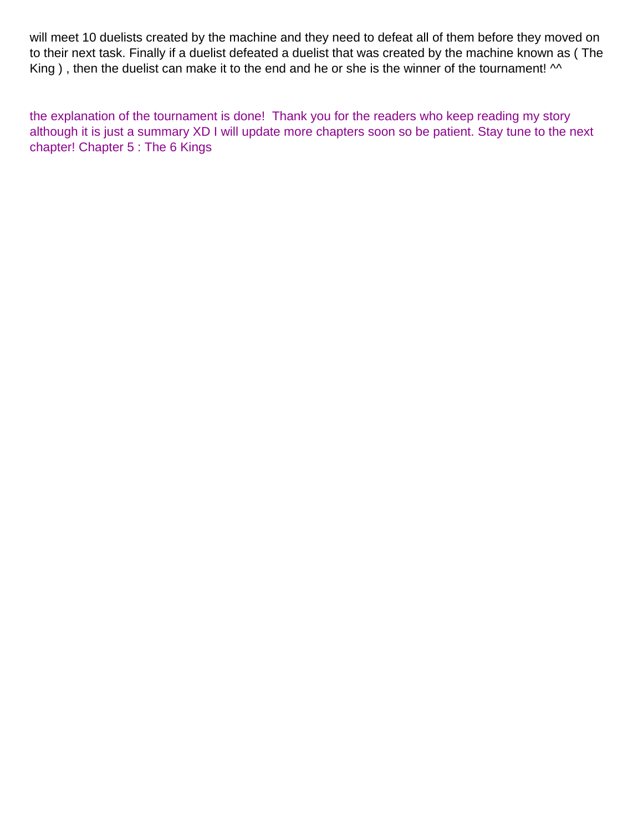will meet 10 duelists created by the machine and they need to defeat all of them before they moved on to their next task. Finally if a duelist defeated a duelist that was created by the machine known as ( The King ), then the duelist can make it to the end and he or she is the winner of the tournament!  $\sim$ 

the explanation of the tournament is done! Thank you for the readers who keep reading my story although it is just a summary XD I will update more chapters soon so be patient. Stay tune to the next chapter! Chapter 5 : The 6 Kings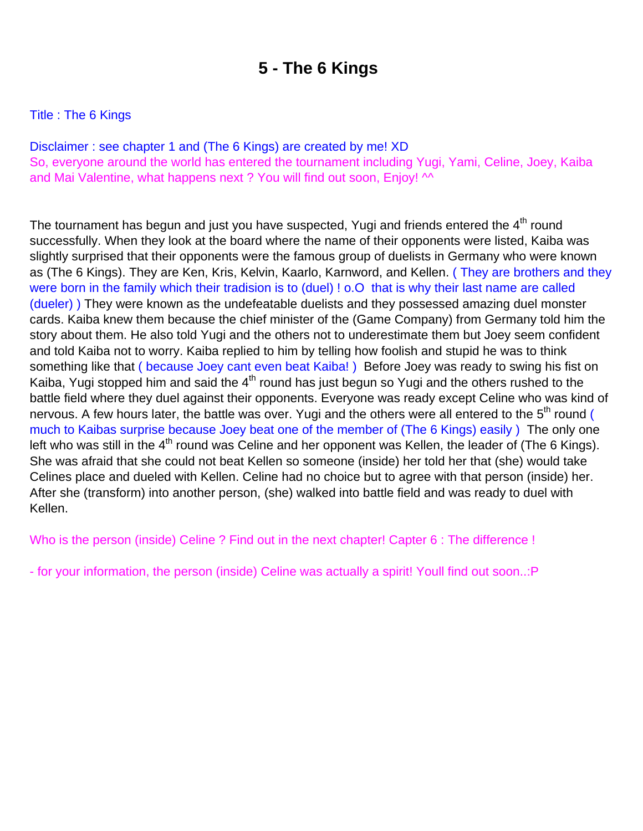## **5 - The 6 Kings**

#### <span id="page-6-0"></span>Title : The 6 Kings

Disclaimer : see chapter 1 and (The 6 Kings) are created by me! XD So, everyone around the world has entered the tournament including Yugi, Yami, Celine, Joey, Kaiba and Mai Valentine, what happens next ? You will find out soon, Enjoy! ^^

The tournament has begun and just you have suspected, Yugi and friends entered the 4<sup>th</sup> round successfully. When they look at the board where the name of their opponents were listed, Kaiba was slightly surprised that their opponents were the famous group of duelists in Germany who were known as (The 6 Kings). They are Ken, Kris, Kelvin, Kaarlo, Karnword, and Kellen. ( They are brothers and they were born in the family which their tradision is to (duel) ! o.O that is why their last name are called (dueler) ) They were known as the undefeatable duelists and they possessed amazing duel monster cards. Kaiba knew them because the chief minister of the (Game Company) from Germany told him the story about them. He also told Yugi and the others not to underestimate them but Joey seem confident and told Kaiba not to worry. Kaiba replied to him by telling how foolish and stupid he was to think something like that ( because Joey can t even beat Kaiba!) Before Joey was ready to swing his fist on Kaiba, Yugi stopped him and said the  $4<sup>th</sup>$  round has just begun so Yugi and the others rushed to the battle field where they duel against their opponents. Everyone was ready except Celine who was kind of nervous. A few hours later, the battle was over. Yugi and the others were all entered to the 5<sup>th</sup> round ( much to Kaiba s surprise because Joey beat one of the member of (The 6 Kings) easily ) The only one left who was still in the  $4<sup>th</sup>$  round was Celine and her opponent was Kellen, the leader of (The 6 Kings). She was afraid that she could not beat Kellen so someone (inside) her told her that (she) would take Celine s place and dueled with Kellen. Celine had no choice but to agree with that person (inside) her. After she (transform) into another person, (she) walked into battle field and was ready to duel with Kellen.

Who is the person (inside) Celine ? Find out in the next chapter! Capter 6 : The difference !

- for your information, the person (inside) Celine was actually a spirit! Youll find out soon..:P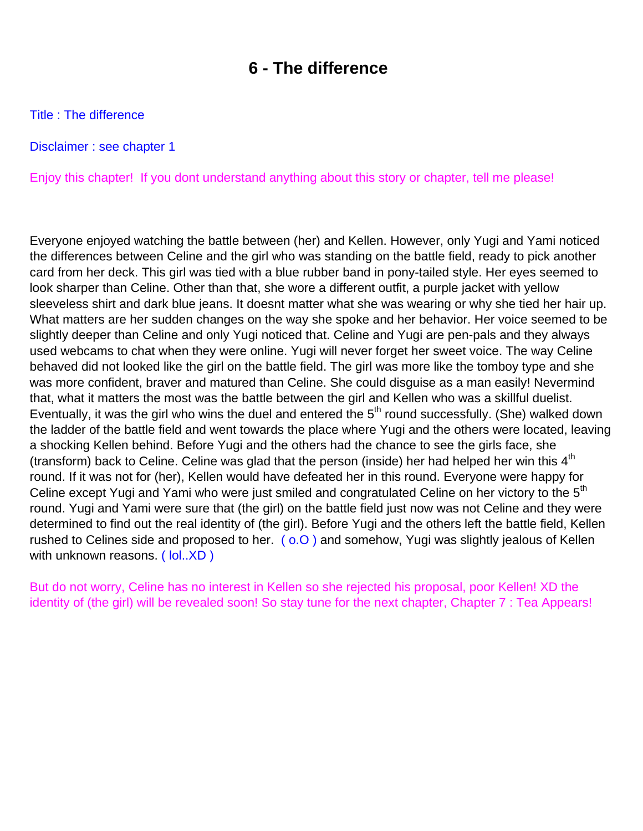### **6 - The difference**

<span id="page-7-0"></span>Title : The difference

Disclaimer : see chapter 1

Enjoy this chapter! If you don t understand anything about this story or chapter, tell me please!

Everyone enjoyed watching the battle between (her) and Kellen. However, only Yugi and Yami noticed the differences between Celine and the girl who was standing on the battle field, ready to pick another card from her deck. This girl was tied with a blue rubber band in pony-tailed style. Her eyes seemed to look sharper than Celine. Other than that, she wore a different outfit, a purple jacket with yellow sleeveless shirt and dark blue jeans. It doesn t matter what she was wearing or why she tied her hair up. What matters are her sudden changes on the way she spoke and her behavior. Her voice seemed to be slightly deeper than Celine and only Yugi noticed that. Celine and Yugi are pen-pals and they always used webcams to chat when they were online. Yugi will never forget her sweet voice. The way Celine behaved did not looked like the girl on the battle field. The girl was more like the tomboy type and she was more confident, braver and matured than Celine. She could disguise as a man easily! Nevermind that, what it matters the most was the battle between the girl and Kellen who was a skillful duelist. Eventually, it was the girl who wins the duel and entered the  $5<sup>th</sup>$  round successfully. (She) walked down the ladder of the battle field and went towards the place where Yugi and the others were located, leaving a shocking Kellen behind. Before Yugi and the others had the chance to see the girl s face, she (transform) back to Celine. Celine was glad that the person (inside) her had helped her win this  $4<sup>th</sup>$ round. If it was not for (her), Kellen would have defeated her in this round. Everyone were happy for Celine except Yugi and Yami who were just smiled and congratulated Celine on her victory to the 5<sup>th</sup> round. Yugi and Yami were sure that (the girl) on the battle field just now was not Celine and they were determined to find out the real identity of (the girl). Before Yugi and the others left the battle field, Kellen rushed to Celine s side and proposed to her. ( $\overline{0.0}$ ) and somehow, Yugi was slightly jealous of Kellen with unknown reasons. ( lol..XD )

But do not worry, Celine has no interest in Kellen so she rejected his proposal, poor Kellen! XD the identity of (the girl) will be revealed soon! So stay tune for the next chapter, Chapter 7 : Tea Appears!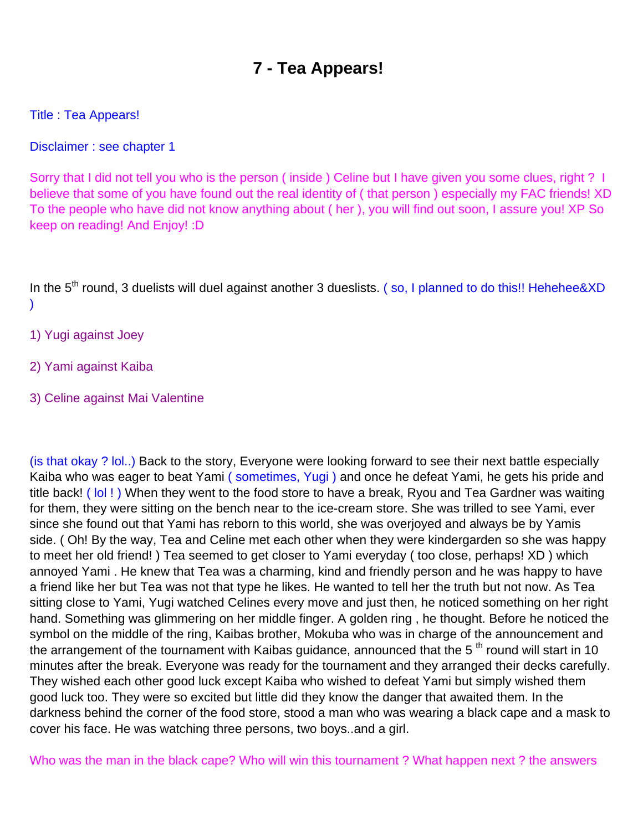## **7 - Tea Appears!**

### <span id="page-8-0"></span>Title : Tea Appears!

Disclaimer : see chapter 1

Sorry that I did not tell you who is the person ( inside ) Celine but I have given you some clues, right ? I believe that some of you have found out the real identity of ( that person ) especially my FAC friends! XD To the people who have did not know anything about ( her ), you will find out soon, I assure you! XP So keep on reading! And Enjoy! :D

In the 5<sup>th</sup> round, 3 duelists will duel against another 3 dueslists. (so, I planned to do this!! Hehehee&XD )

- 1) Yugi against Joey
- 2) Yami against Kaiba
- 3) Celine against Mai Valentine

(is that okay ? lol..) Back to the story, Everyone were looking forward to see their next battle especially Kaiba who was eager to beat Yami ( sometimes, Yugi ) and once he defeat Yami, he gets his pride and title back! ( lol ! ) When they went to the food store to have a break, Ryou and Tea Gardner was waiting for them, they were sitting on the bench near to the ice-cream store. She was trilled to see Yami, ever since she found out that Yami has reborn to this world, she was overjoyed and always be by Yami s side. ( Oh! By the way, Tea and Celine met each other when they were kindergarden so she was happy to meet her old friend! ) Tea seemed to get closer to Yami everyday ( too close, perhaps! XD ) which annoyed Yami . He knew that Tea was a charming, kind and friendly person and he was happy to have a friend like her but Tea was not that type he likes. He wanted to tell her the truth but not now. As Tea sitting close to Yami, Yugi watched Celine s every move and just then, he noticed something on her right hand. Something was glimmering on her middle finger. A golden ring , he thought. Before he noticed the symbol on the middle of the ring, Kaiba s brother, Mokuba who was in charge of the announcement and the arrangement of the tournament with Kaiba s guidance, announced that the  $5<sup>th</sup>$  round will start in 10 minutes after the break. Everyone was ready for the tournament and they arranged their decks carefully. They wished each other good luck except Kaiba who wished to defeat Yami but simply wished them good luck too. They were so excited but little did they know the danger that awaited them. In the darkness behind the corner of the food store, stood a man who was wearing a black cape and a mask to cover his face. He was watching three persons, two boys..and a girl.

Who was the man in the black cape? Who will win this tournament ? What happen next ? the answers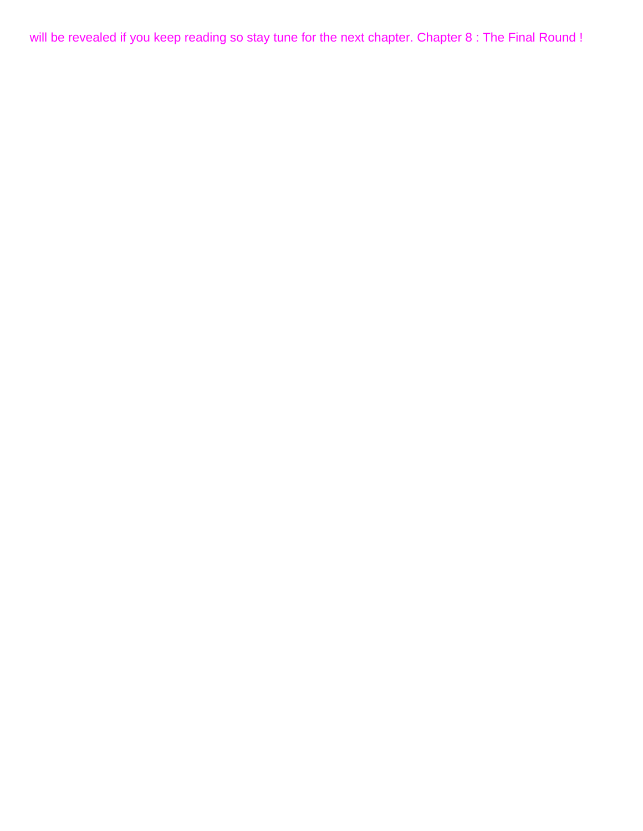will be revealed if you keep reading so stay tune for the next chapter. Chapter 8 : The Final Round !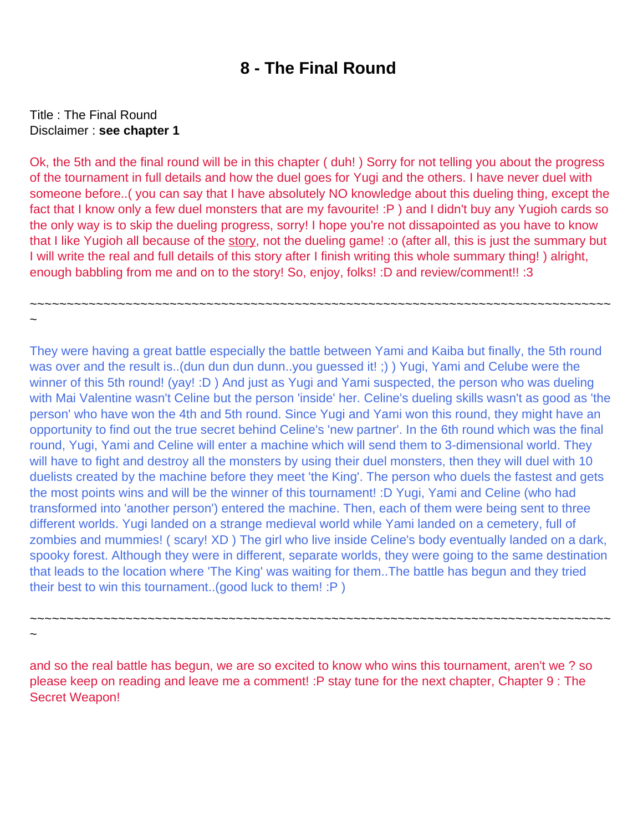### **8 - The Final Round**

### <span id="page-10-0"></span>Title : The Final Round Disclaimer : **see chapter 1**

~

~

Ok, the 5th and the final round will be in this chapter ( duh! ) Sorry for not telling you about the progress of the tournament in full details and how the duel goes for Yugi and the others. I have never duel with someone before..( you can say that I have absolutely NO knowledge about this dueling thing, except the fact that I know only a few duel monsters that are my favourite! :P ) and I didn't buy any Yugioh cards so the only way is to skip the dueling progress, sorry! I hope you're not dissapointed as you have to know that I like Yugioh all because of the story, not the dueling game! : o (after all, this is just the summary but I will write the real and full details of this story after I finish writing this whole summary thing! ) alright, enough babbling from me and on to the story! So, enjoy, folks! :D and review/comment!! :3

~~~~~~~~~~~~~~~~~~~~~~~~~~~~~~~~~~~~~~~~~~~~~~~~~~~~~~~~~~~~~~~~~~~~~~~~~~~~~~~

They were having a great battle especially the battle between Yami and Kaiba but finally, the 5th round was over and the result is..(dun dun dun dunn..you guessed it!;)) Yugi, Yami and Celube were the winner of this 5th round! (yay! :D) And just as Yugi and Yami suspected, the person who was dueling with Mai Valentine wasn't Celine but the person 'inside' her. Celine's dueling skills wasn't as good as 'the person' who have won the 4th and 5th round. Since Yugi and Yami won this round, they might have an opportunity to find out the true secret behind Celine's 'new partner'. In the 6th round which was the final round, Yugi, Yami and Celine will enter a machine which will send them to 3-dimensional world. They will have to fight and destroy all the monsters by using their duel monsters, then they will duel with 10 duelists created by the machine before they meet 'the King'. The person who duels the fastest and gets the most points wins and will be the winner of this tournament! :D Yugi, Yami and Celine (who had transformed into 'another person') entered the machine. Then, each of them were being sent to three different worlds. Yugi landed on a strange medieval world while Yami landed on a cemetery, full of zombies and mummies! ( scary! XD ) The girl who live inside Celine's body eventually landed on a dark, spooky forest. Although they were in different, separate worlds, they were going to the same destination that leads to the location where 'The King' was waiting for them..The battle has begun and they tried their best to win this tournament..(good luck to them! :P )

and so the real battle has begun, we are so excited to know who wins this tournament, aren't we ? so please keep on reading and leave me a comment! :P stay tune for the next chapter, Chapter 9 : The Secret Weapon!

~~~~~~~~~~~~~~~~~~~~~~~~~~~~~~~~~~~~~~~~~~~~~~~~~~~~~~~~~~~~~~~~~~~~~~~~~~~~~~~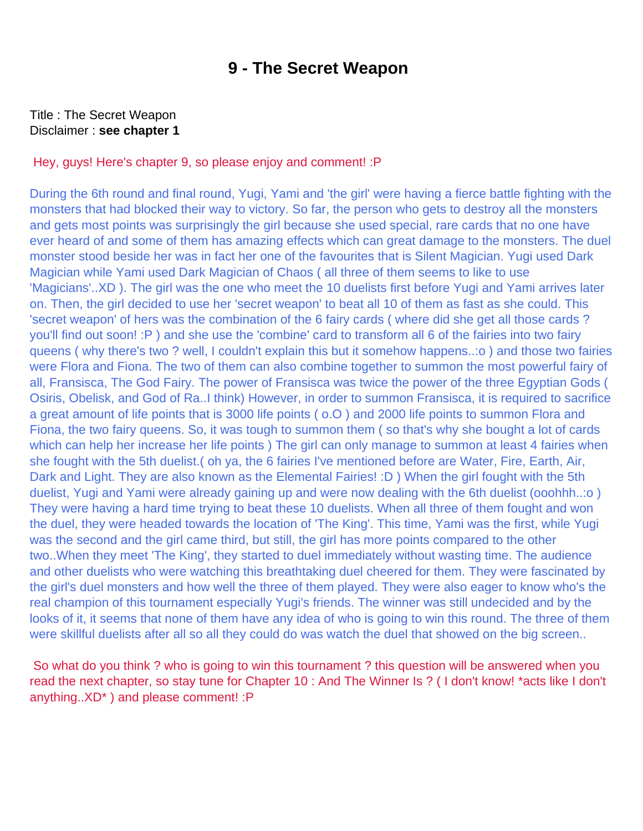### **9 - The Secret Weapon**

#### <span id="page-11-0"></span>Title : The Secret Weapon Disclaimer : **see chapter 1**

#### Hey, guys! Here's chapter 9, so please enjoy and comment! :P

During the 6th round and final round, Yugi, Yami and 'the girl' were having a fierce battle fighting with the monsters that had blocked their way to victory. So far, the person who gets to destroy all the monsters and gets most points was surprisingly the girl because she used special, rare cards that no one have ever heard of and some of them has amazing effects which can great damage to the monsters. The duel monster stood beside her was in fact her one of the favourites that is Silent Magician. Yugi used Dark Magician while Yami used Dark Magician of Chaos ( all three of them seems to like to use 'Magicians'..XD ). The girl was the one who meet the 10 duelists first before Yugi and Yami arrives later on. Then, the girl decided to use her 'secret weapon' to beat all 10 of them as fast as she could. This 'secret weapon' of hers was the combination of the 6 fairy cards ( where did she get all those cards ? you'll find out soon! :P ) and she use the 'combine' card to transform all 6 of the fairies into two fairy queens ( why there's two ? well, I couldn't explain this but it somehow happens..:o ) and those two fairies were Flora and Fiona. The two of them can also combine together to summon the most powerful fairy of all, Fransisca, The God Fairy. The power of Fransisca was twice the power of the three Egyptian Gods ( Osiris, Obelisk, and God of Ra..I think) However, in order to summon Fransisca, it is required to sacrifice a great amount of life points that is 3000 life points ( o.O ) and 2000 life points to summon Flora and Fiona, the two fairy queens. So, it was tough to summon them ( so that's why she bought a lot of cards which can help her increase her life points ) The girl can only manage to summon at least 4 fairies when she fought with the 5th duelist.( oh ya, the 6 fairies I've mentioned before are Water, Fire, Earth, Air, Dark and Light. They are also known as the Elemental Fairies! :D ) When the girl fought with the 5th duelist, Yugi and Yami were already gaining up and were now dealing with the 6th duelist (ooohhh..:o ) They were having a hard time trying to beat these 10 duelists. When all three of them fought and won the duel, they were headed towards the location of 'The King'. This time, Yami was the first, while Yugi was the second and the girl came third, but still, the girl has more points compared to the other two..When they meet 'The King', they started to duel immediately without wasting time. The audience and other duelists who were watching this breathtaking duel cheered for them. They were fascinated by the girl's duel monsters and how well the three of them played. They were also eager to know who's the real champion of this tournament especially Yugi's friends. The winner was still undecided and by the looks of it, it seems that none of them have any idea of who is going to win this round. The three of them were skillful duelists after all so all they could do was watch the duel that showed on the big screen..

 So what do you think ? who is going to win this tournament ? this question will be answered when you read the next chapter, so stay tune for Chapter 10 : And The Winner Is ? ( I don't know! \*acts like I don't anything..XD\* ) and please comment! :P